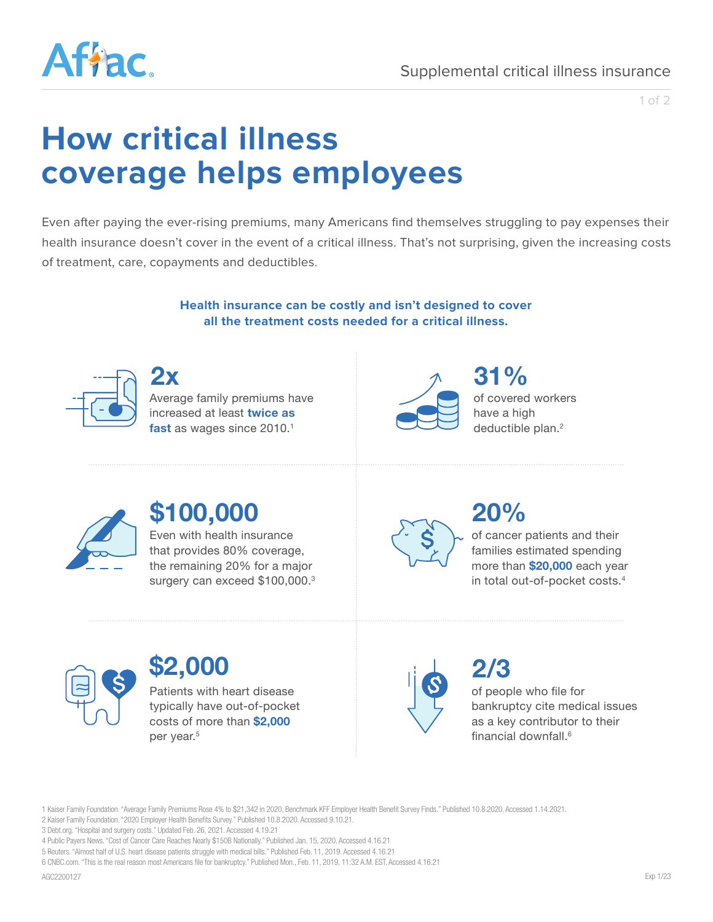

1 of 2

# **How critical illness coverage helps employees**

Even after paying the ever-rising premiums, many Americans find themselves struggling to pay expenses their health insurance doesn't cover in the event of a critical illness. That's not surprising, given the increasing costs of treatment, care, copayments and deductibles.

> **Health insurance can be costly and isn't designed to cover all the treatment costs needed for a critical illness.**



Average family premiums have increased at least **twice as**  fast as wages since 2010.<sup>1</sup> **2x 31%**



of covered workers have a high deductible plan.<sup>2</sup>



## **\$100,000**

Even with health insurance that provides 80% coverage, the remaining 20% for a major surgery can exceed \$100,000.<sup>3</sup>



### **20%**

of cancer patients and their families estimated spending more than **\$20,000** each year in total out-of-pocket costs.4



### **\$2,000**

Patients with heart disease typically have out-of-pocket costs of more than **\$2,000** per year.<sup>5</sup>



of people who file for bankruptcy cite medical issues as a key contributor to their financial downfall  $6$ **2/3**

1 Kaiser Family Foundation. "Average Family Premiums Rose 4% to \$21,342 in 2020, Benchmark KFF Employer Health Benefi t Survey Finds." Published 10.8.2020. Accessed 1.14.2021.

2 Kaiser Family Foundation. "2020 Employer Health Benefits Survey." Published 10.8.2020. Accessed 9.10.21.

3 Debt.org. "Hospital and surgery costs." Updated Feb. 26, 2021. Accessed 4.19.21

<sup>4</sup> Public Payers News. "Cost of Cancer Care Reaches Nearly \$150B Nationally." Published Jan. 15, 2020. Accessed 4.16.21

<sup>5</sup> Reuters. "Almost half of U.S. heart disease patients struggle with medical bills." Published Feb. 11, 2019. Accessed 4.16.21

<sup>6</sup> CNBC.com. "This is the real reason most Americans file for bankruptcy." Published Mon., Feb. 11, 2019, 11:32 A.M. EST. Accessed 4.16.21